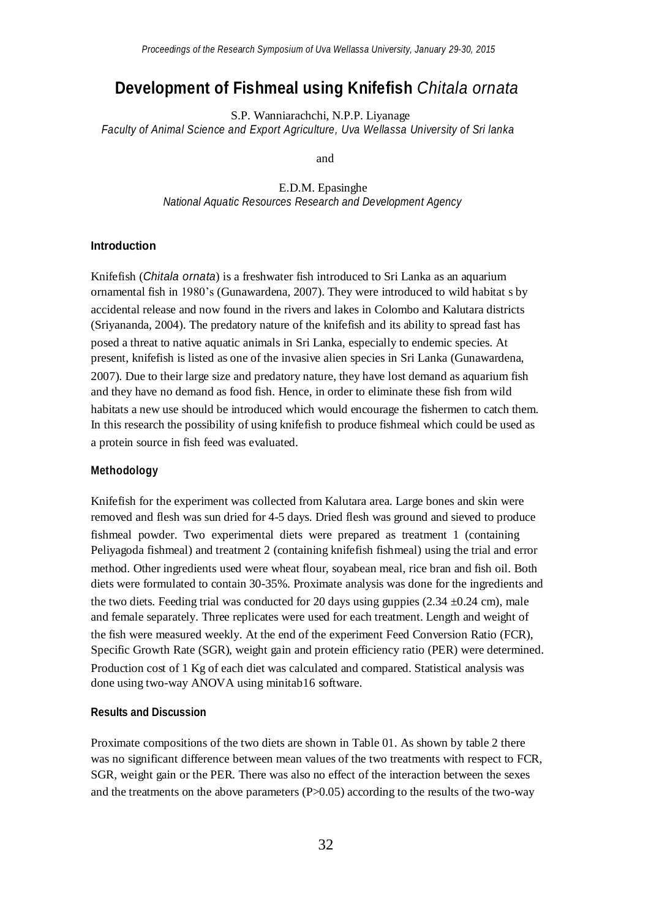# **Development of Fishmeal using Knifefish** *Chitala ornata*

S.P. Wanniarachchi, N.P.P. Liyanage *Faculty of Animal Science and Export Agriculture, Uva Wellassa University of Sri lanka*

and

E.D.M. Epasinghe *National Aquatic Resources Research and Development Agency*

### **Introduction**

Knifefish (*Chitala ornata*) is a freshwater fish introduced to Sri Lanka as an aquarium ornamental fish in 1980's (Gunawardena, 2007). They were introduced to wild habitat s by accidental release and now found in the rivers and lakes in Colombo and Kalutara districts (Sriyananda, 2004). The predatory nature of the knifefish and its ability to spread fast has posed a threat to native aquatic animals in Sri Lanka, especially to endemic species. At present, knifefish is listed as one of the invasive alien species in Sri Lanka (Gunawardena, 2007). Due to their large size and predatory nature, they have lost demand as aquarium fish and they have no demand as food fish. Hence, in order to eliminate these fish from wild habitats a new use should be introduced which would encourage the fishermen to catch them. In this research the possibility of using knifefish to produce fishmeal which could be used as a protein source in fish feed was evaluated.

### **Methodology**

Knifefish for the experiment was collected from Kalutara area. Large bones and skin were removed and flesh was sun dried for 4-5 days. Dried flesh was ground and sieved to produce fishmeal powder. Two experimental diets were prepared as treatment 1 (containing Peliyagoda fishmeal) and treatment 2 (containing knifefish fishmeal) using the trial and error method. Other ingredients used were wheat flour, soyabean meal, rice bran and fish oil. Both diets were formulated to contain 30-35%. Proximate analysis was done for the ingredients and the two diets. Feeding trial was conducted for 20 days using guppies  $(2.34 \pm 0.24 \text{ cm})$ , male and female separately. Three replicates were used for each treatment. Length and weight of the fish were measured weekly. At the end of the experiment Feed Conversion Ratio (FCR), Specific Growth Rate (SGR), weight gain and protein efficiency ratio (PER) were determined. Production cost of 1 Kg of each diet was calculated and compared. Statistical analysis was done using two-way ANOVA using minitab16 software.

# **Results and Discussion**

Proximate compositions of the two diets are shown in Table 01. As shown by table 2 there was no significant difference between mean values of the two treatments with respect to FCR, SGR, weight gain or the PER. There was also no effect of the interaction between the sexes and the treatments on the above parameters (P>0.05) according to the results of the two-way